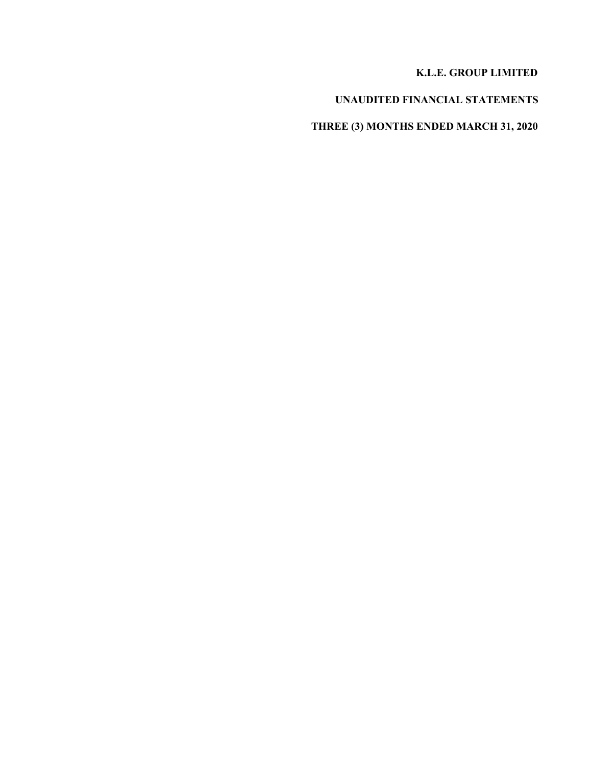## **K.L.E. GROUP LIMITED**

# **UNAUDITED FINANCIAL STATEMENTS**

# **THREE (3) MONTHS ENDED MARCH 31, 2020**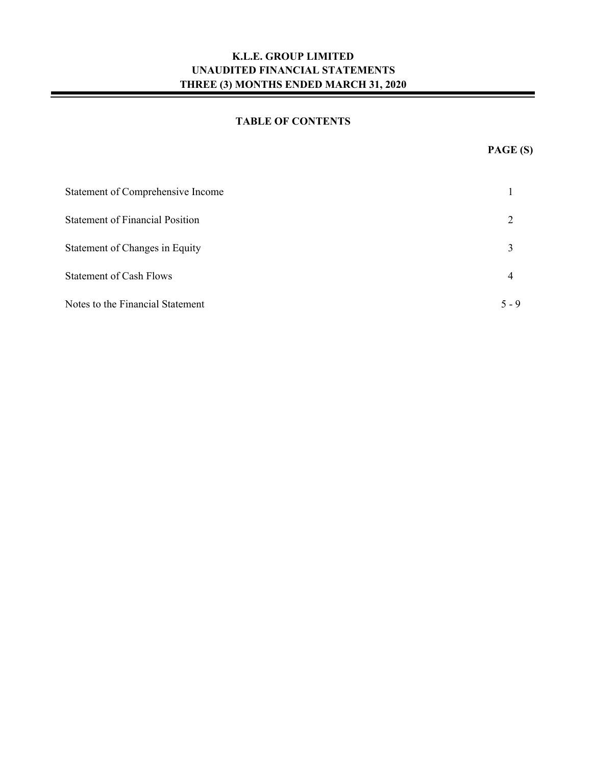## **TABLE OF CONTENTS**

| Statement of Comprehensive Income      |         |
|----------------------------------------|---------|
| <b>Statement of Financial Position</b> |         |
| Statement of Changes in Equity         | 3       |
| <b>Statement of Cash Flows</b>         | 4       |
| Notes to the Financial Statement       | $5 - 9$ |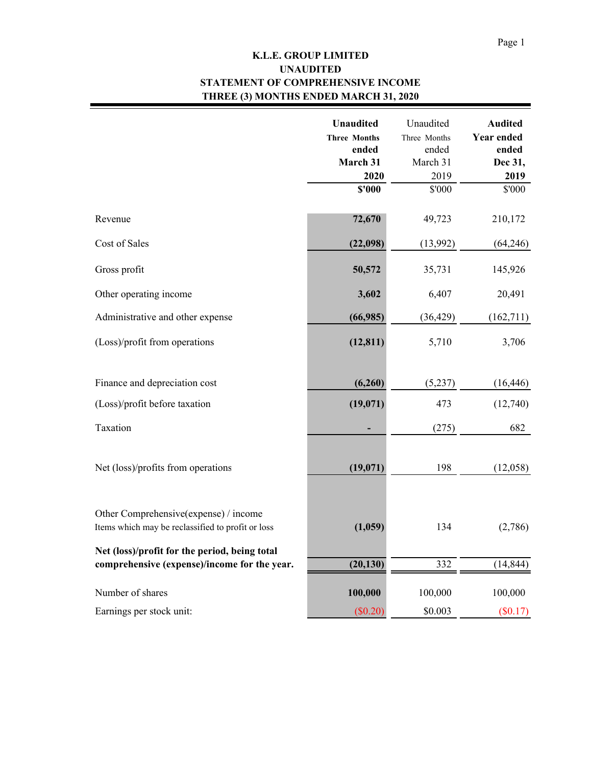۰

## **K.L.E. GROUP LIMITED STATEMENT OF COMPREHENSIVE INCOME THREE (3) MONTHS ENDED MARCH 31, 2020 UNAUDITED**

|                                                                                            | <b>Unaudited</b><br><b>Three Months</b><br>ended<br>March 31<br>2020 | Unaudited<br>Three Months<br>ended<br>March 31<br>2019 | <b>Audited</b><br><b>Year ended</b><br>ended<br>Dec 31,<br>2019 |
|--------------------------------------------------------------------------------------------|----------------------------------------------------------------------|--------------------------------------------------------|-----------------------------------------------------------------|
|                                                                                            | \$'000                                                               | \$'000                                                 | \$'000                                                          |
| Revenue                                                                                    | 72,670                                                               | 49,723                                                 | 210,172                                                         |
| Cost of Sales                                                                              | (22,098)                                                             | (13,992)                                               | (64,246)                                                        |
| Gross profit                                                                               | 50,572                                                               | 35,731                                                 | 145,926                                                         |
| Other operating income                                                                     | 3,602                                                                | 6,407                                                  | 20,491                                                          |
| Administrative and other expense                                                           | (66,985)                                                             | (36, 429)                                              | (162,711)                                                       |
| (Loss)/profit from operations                                                              | (12, 811)                                                            | 5,710                                                  | 3,706                                                           |
| Finance and depreciation cost                                                              | (6,260)                                                              | (5,237)                                                | (16, 446)                                                       |
| (Loss)/profit before taxation                                                              | (19,071)                                                             | 473                                                    | (12,740)                                                        |
| Taxation                                                                                   |                                                                      | (275)                                                  | 682                                                             |
| Net (loss)/profits from operations                                                         | (19,071)                                                             | 198                                                    | (12,058)                                                        |
| Other Comprehensive(expense) / income<br>Items which may be reclassified to profit or loss | (1,059)                                                              | 134                                                    | (2,786)                                                         |
| Net (loss)/profit for the period, being total                                              |                                                                      |                                                        |                                                                 |
| comprehensive (expense)/income for the year.                                               | (20, 130)                                                            | 332                                                    | (14, 844)                                                       |
| Number of shares                                                                           | 100,000                                                              | 100,000                                                | 100,000                                                         |
| Earnings per stock unit:                                                                   | (\$0.20)                                                             | \$0.003                                                | (\$0.17)                                                        |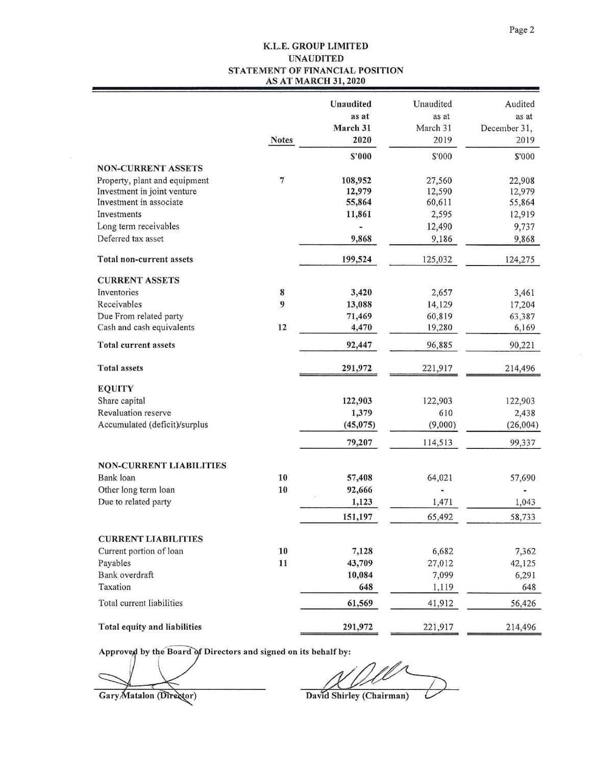### K.L.E. GROUP LIMITED **UNAUDITED** STATEMENT OF FINANCIAL POSITION **AS AT MARCH 31, 2020**

|                                                       | <b>Notes</b>     | Unaudited<br>as at<br>March 31<br>2020 | Unaudited<br>as at<br>March 31<br>2019 | Audited<br>as at<br>December 31,<br>2019 |
|-------------------------------------------------------|------------------|----------------------------------------|----------------------------------------|------------------------------------------|
|                                                       |                  | \$'000                                 | \$'000                                 | \$'000                                   |
| <b>NON-CURRENT ASSETS</b>                             |                  |                                        |                                        |                                          |
| Property, plant and equipment                         | $\boldsymbol{7}$ | 108,952                                | 27,560                                 | 22,908                                   |
| Investment in joint venture                           |                  | 12,979                                 | 12,590                                 | 12,979                                   |
| Investment in associate                               |                  | 55,864                                 | 60,611                                 | 55,864                                   |
| Investments                                           |                  | 11,861                                 | 2,595                                  | 12,919                                   |
| Long term receivables                                 |                  |                                        | 12,490                                 | 9,737                                    |
| Deferred tax asset                                    |                  | 9,868                                  | 9,186                                  | 9,868                                    |
| Total non-current assets                              |                  | 199,524                                | 125,032                                | 124,275                                  |
| <b>CURRENT ASSETS</b>                                 |                  |                                        |                                        |                                          |
| Inventories                                           | 8                | 3,420                                  | 2,657                                  | 3,461                                    |
| Receivables                                           | 9                | 13,088                                 | 14,129                                 | 17,204                                   |
| Due From related party                                |                  | 71,469                                 | 60,819                                 | 63,387                                   |
| Cash and cash equivalents                             | 12               | 4,470                                  | 19,280                                 | 6,169                                    |
| <b>Total current assets</b>                           |                  | 92,447                                 | 96,885                                 | 90,221                                   |
| <b>Total assets</b>                                   |                  | 291,972                                | 221,917                                | 214,496                                  |
| <b>EQUITY</b>                                         |                  |                                        |                                        |                                          |
| Share capital                                         |                  | 122,903                                | 122,903                                | 122,903                                  |
| Revaluation reserve                                   |                  | 1,379                                  | 610                                    | 2,438                                    |
| Accumulated (deficit)/surplus                         |                  | (45, 075)                              | (9,000)                                | (26,004)                                 |
|                                                       |                  | 79,207                                 | 114,513                                | 99,337                                   |
| <b>NON-CURRENT LIABILITIES</b>                        |                  |                                        |                                        |                                          |
| Bank loan                                             | 10               | 57,408                                 | 64,021                                 | 57,690                                   |
| Other long term loan                                  | 10               | 92,666                                 |                                        |                                          |
| Due to related party                                  |                  | 1,123                                  | 1,471                                  | 1,043                                    |
|                                                       |                  | 151,197                                | 65,492                                 | 58,733                                   |
|                                                       |                  |                                        |                                        |                                          |
| <b>CURRENT LIABILITIES</b><br>Current portion of loan | 10               | 7,128                                  | 6,682                                  | 7,362                                    |
| Payables                                              | 11               | 43,709                                 | 27,012                                 | 42,125                                   |
| Bank overdraft                                        |                  | 10,084                                 | 7,099                                  | 6,291                                    |
| Taxation                                              |                  | 648                                    | 1,119                                  | 648                                      |
| Total current liabilities                             |                  | 61,569                                 | 41,912                                 | 56,426                                   |
| Total equity and liabilities                          |                  | 291,972                                | 221,917                                | 214,496                                  |

Approved by the Board of Directors and signed on its behalf by:

Gary Matalon (Director)

David Shirley (Chairman)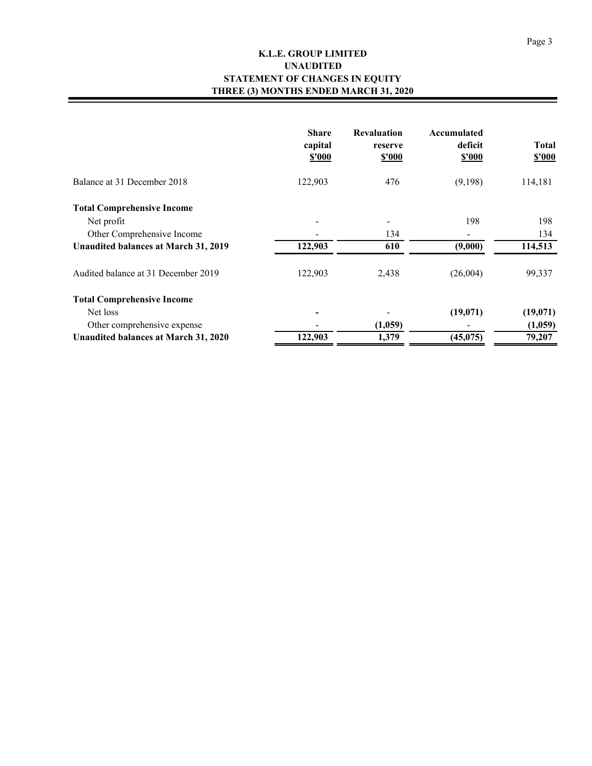## **K.L.E. GROUP LIMITED STATEMENT OF CHANGES IN EQUITY THREE (3) MONTHS ENDED MARCH 31, 2020 UNAUDITED**

|                                      | <b>Share</b><br>capital<br>\$'000 | <b>Revaluation</b><br>reserve<br><b>\$'000</b> | Accumulated<br>deficit<br>\$'000 | <b>Total</b><br><b>\$'000</b> |
|--------------------------------------|-----------------------------------|------------------------------------------------|----------------------------------|-------------------------------|
| Balance at 31 December 2018          | 122,903                           | 476                                            | (9,198)                          | 114,181                       |
| <b>Total Comprehensive Income</b>    |                                   |                                                |                                  |                               |
| Net profit                           |                                   |                                                | 198                              | 198                           |
| Other Comprehensive Income           |                                   | 134                                            |                                  | 134                           |
| Unaudited balances at March 31, 2019 | 122,903                           | 610                                            | (9,000)                          | 114,513                       |
| Audited balance at 31 December 2019  | 122,903                           | 2,438                                          | (26,004)                         | 99,337                        |
| <b>Total Comprehensive Income</b>    |                                   |                                                |                                  |                               |
| Net loss                             |                                   |                                                | (19,071)                         | (19,071)                      |
| Other comprehensive expense          |                                   | (1,059)                                        |                                  | (1,059)                       |
| Unaudited balances at March 31, 2020 | 122,903                           | 1,379                                          | (45,075)                         | 79,207                        |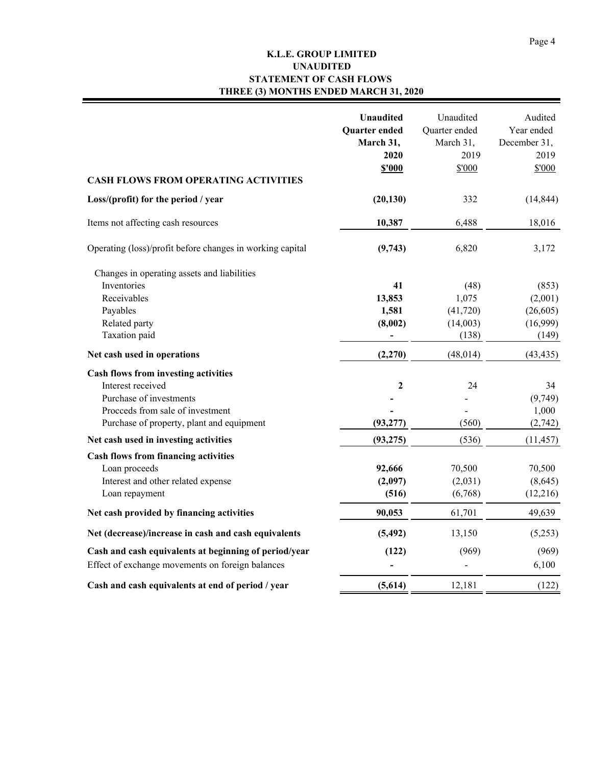## **K.L.E. GROUP LIMITED STATEMENT OF CASH FLOWS THREE (3) MONTHS ENDED MARCH 31, 2020 UNAUDITED**

| <b>CASH FLOWS FROM OPERATING ACTIVITIES</b>                | <b>Unaudited</b><br>Quarter ended<br>March 31,<br>2020<br>\$'000 | Unaudited<br>Quarter ended<br>March 31,<br>2019<br>\$'000 | Audited<br>Year ended<br>December 31,<br>2019<br>\$'000 |
|------------------------------------------------------------|------------------------------------------------------------------|-----------------------------------------------------------|---------------------------------------------------------|
| Loss/(profit) for the period / year                        | (20, 130)                                                        | 332                                                       | (14, 844)                                               |
| Items not affecting cash resources                         | 10,387                                                           | 6,488                                                     | 18,016                                                  |
| Operating (loss)/profit before changes in working capital  | (9,743)                                                          | 6,820                                                     | 3,172                                                   |
| Changes in operating assets and liabilities<br>Inventories | 41                                                               | (48)                                                      | (853)                                                   |
| Receivables                                                | 13,853                                                           | 1,075                                                     | (2,001)                                                 |
| Payables                                                   | 1,581                                                            | (41, 720)                                                 | (26,605)                                                |
| Related party                                              | (8,002)                                                          | (14,003)                                                  | (16,999)                                                |
| Taxation paid                                              |                                                                  | (138)                                                     | (149)                                                   |
| Net cash used in operations                                | (2,270)                                                          | (48, 014)                                                 | (43, 435)                                               |
| Cash flows from investing activities                       |                                                                  |                                                           |                                                         |
| Interest received                                          | $\boldsymbol{2}$                                                 | 24                                                        | 34                                                      |
| Purchase of investments                                    |                                                                  |                                                           | (9,749)                                                 |
| Proceeds from sale of investment                           |                                                                  |                                                           | 1,000                                                   |
| Purchase of property, plant and equipment                  | (93, 277)                                                        | (560)                                                     | (2,742)                                                 |
| Net cash used in investing activities                      | (93, 275)                                                        | (536)                                                     | (11, 457)                                               |
| <b>Cash flows from financing activities</b>                |                                                                  |                                                           |                                                         |
| Loan proceeds                                              | 92,666                                                           | 70,500                                                    | 70,500                                                  |
| Interest and other related expense                         | (2,097)                                                          | (2,031)                                                   | (8,645)                                                 |
| Loan repayment                                             | (516)                                                            | (6,768)                                                   | (12,216)                                                |
| Net cash provided by financing activities                  | 90,053                                                           | 61,701                                                    | 49,639                                                  |
| Net (decrease)/increase in cash and cash equivalents       | (5, 492)                                                         | 13,150                                                    | (5,253)                                                 |
| Cash and cash equivalents at beginning of period/year      | (122)                                                            | (969)                                                     | (969)                                                   |
| Effect of exchange movements on foreign balances           |                                                                  |                                                           | 6,100                                                   |
| Cash and cash equivalents at end of period / year          | (5,614)                                                          | 12,181                                                    | (122)                                                   |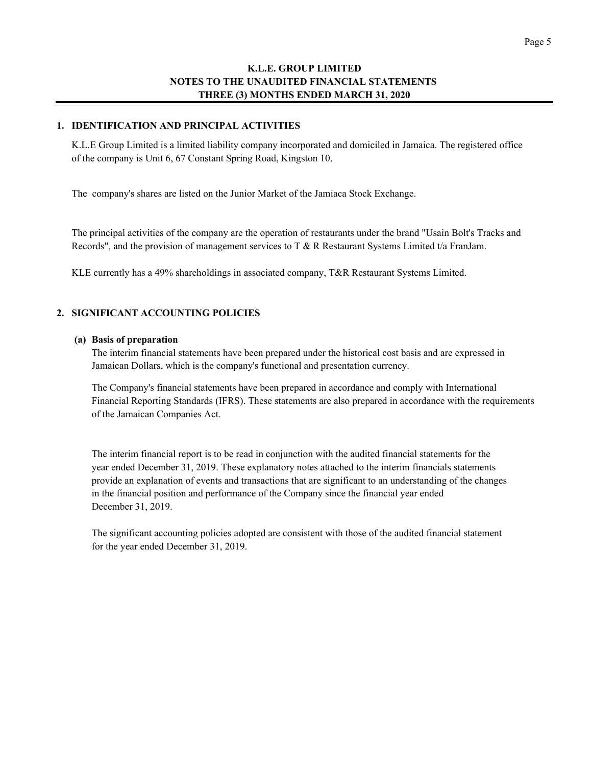#### **1. IDENTIFICATION AND PRINCIPAL ACTIVITIES**

K.L.E Group Limited is a limited liability company incorporated and domiciled in Jamaica. The registered office of the company is Unit 6, 67 Constant Spring Road, Kingston 10.

The company's shares are listed on the Junior Market of the Jamiaca Stock Exchange.

The principal activities of the company are the operation of restaurants under the brand "Usain Bolt's Tracks and Records", and the provision of management services to T & R Restaurant Systems Limited t/a FranJam.

KLE currently has a 49% shareholdings in associated company, T&R Restaurant Systems Limited.

#### **2. SIGNIFICANT ACCOUNTING POLICIES**

#### **(a) Basis of preparation**

The interim financial statements have been prepared under the historical cost basis and are expressed in Jamaican Dollars, which is the company's functional and presentation currency.

The Company's financial statements have been prepared in accordance and comply with International Financial Reporting Standards (IFRS). These statements are also prepared in accordance with the requirements of the Jamaican Companies Act.

The interim financial report is to be read in conjunction with the audited financial statements for the year ended December 31, 2019. These explanatory notes attached to the interim financials statements provide an explanation of events and transactions that are significant to an understanding of the changes in the financial position and performance of the Company since the financial year ended December 31, 2019.

The significant accounting policies adopted are consistent with those of the audited financial statement for the year ended December 31, 2019.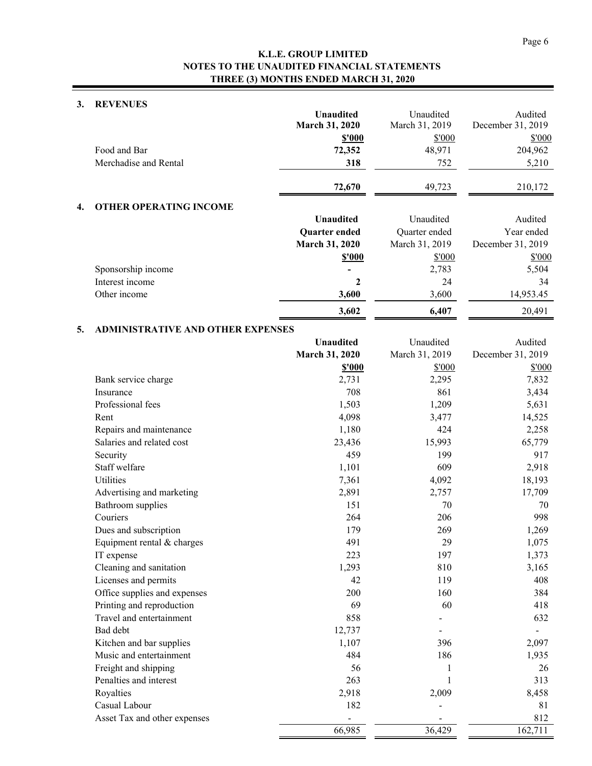### **3. REVENUES**

|    |                                          | <b>Unaudited</b><br>March 31, 2020<br>\$'000 | Unaudited<br>March 31, 2019<br>\$'000 | Audited<br>December 31, 2019<br>\$'000 |
|----|------------------------------------------|----------------------------------------------|---------------------------------------|----------------------------------------|
|    | Food and Bar                             | 72,352                                       | 48,971                                | 204,962                                |
|    | Merchadise and Rental                    | 318                                          | 752                                   | 5,210                                  |
|    |                                          |                                              |                                       |                                        |
|    |                                          | 72,670                                       | 49,723                                | 210,172                                |
| 4. | <b>OTHER OPERATING INCOME</b>            |                                              |                                       |                                        |
|    |                                          | <b>Unaudited</b>                             | Unaudited                             | Audited                                |
|    |                                          | <b>Quarter</b> ended                         | Quarter ended                         | Year ended                             |
|    |                                          | March 31, 2020                               | March 31, 2019                        | December 31, 2019                      |
|    |                                          | \$'000                                       | \$'000                                | \$'000                                 |
|    | Sponsorship income                       |                                              | 2,783                                 | 5,504                                  |
|    | Interest income                          | 2                                            | 24                                    | 34                                     |
|    | Other income                             | 3,600                                        | 3,600                                 | 14,953.45                              |
|    |                                          | 3,602                                        | 6,407                                 | 20,491                                 |
| 5. | <b>ADMINISTRATIVE AND OTHER EXPENSES</b> |                                              |                                       |                                        |
|    |                                          | <b>Unaudited</b>                             | Unaudited                             | Audited                                |
|    |                                          | March 31, 2020                               | March 31, 2019                        | December 31, 2019                      |
|    |                                          | \$'000                                       | \$'000                                | \$'000                                 |
|    | Bank service charge                      | 2,731                                        | 2,295                                 | 7,832                                  |
|    | Insurance                                | 708                                          | 861                                   | 3,434                                  |
|    | Professional fees                        | 1,503                                        | 1,209                                 | 5,631                                  |
|    | Rent                                     | 4,098                                        | 3,477                                 | 14,525                                 |
|    | Repairs and maintenance                  | 1,180                                        | 424                                   | 2,258                                  |
|    | Salaries and related cost                | 23,436                                       | 15,993                                | 65,779                                 |
|    | Security                                 | 459                                          | 199                                   | 917                                    |
|    | Staff welfare                            | 1,101                                        | 609                                   | 2,918                                  |
|    | Utilities                                | 7,361                                        | 4,092                                 | 18,193                                 |
|    | Advertising and marketing                | 2,891                                        | 2,757                                 | 17,709                                 |
|    | Bathroom supplies                        | 151                                          | 70                                    | 70                                     |
|    | Couriers                                 | 264                                          | 206                                   | 998                                    |
|    | Dues and subscription                    | 179                                          | 269                                   | 1,269                                  |
|    | Equipment rental & charges               | 491                                          | 29                                    | 1,075                                  |
|    | IT expense                               | 223                                          | 197                                   | 1,373                                  |
|    | Cleaning and sanitation                  | 1,293                                        | 810                                   | 3,165                                  |
|    | Licenses and permits                     | 42                                           | 119                                   | 408                                    |
|    | Office supplies and expenses             | 200                                          | 160                                   | 384                                    |
|    | Printing and reproduction                | 69                                           | 60                                    | 418                                    |
|    | Travel and entertainment                 | 858                                          |                                       | 632                                    |
|    | Bad debt                                 | 12,737                                       |                                       |                                        |
|    | Kitchen and bar supplies                 | 1,107                                        | 396                                   | 2,097                                  |
|    | Music and entertainment                  | 484                                          | 186                                   | 1,935                                  |
|    | Freight and shipping                     | 56                                           | 1                                     | 26                                     |
|    | Penalties and interest                   | 263                                          | 1                                     | 313                                    |
|    | Royalties                                | 2,918                                        | 2,009                                 | 8,458                                  |
|    | Casual Labour                            | 182                                          |                                       | 81                                     |
|    | Asset Tax and other expenses             |                                              |                                       | 812                                    |
|    |                                          | 66,985                                       | 36,429                                | 162,711                                |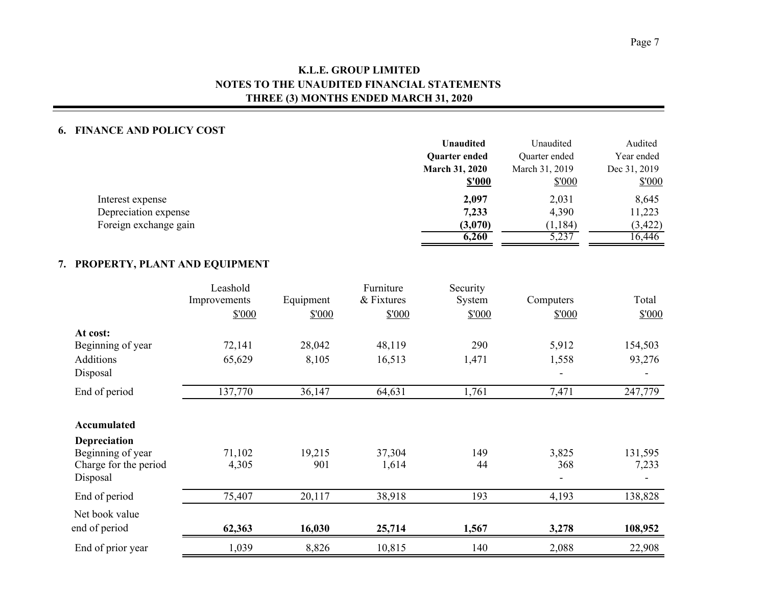### **6. FINANCE AND POLICY COST**

|                       | <b>Unaudited</b>      | Unaudited      | Audited      |
|-----------------------|-----------------------|----------------|--------------|
|                       | <b>Quarter ended</b>  | Quarter ended  | Year ended   |
|                       | <b>March 31, 2020</b> | March 31, 2019 | Dec 31, 2019 |
|                       | <b>\$'000</b>         | \$'000         | \$'000       |
| Interest expense      | 2,097                 | 2,031          | 8,645        |
| Depreciation expense  | 7,233                 | 4,390          | 11,223       |
| Foreign exchange gain | (3,070)               | (1, 184)       | (3, 422)     |
|                       | 6,260                 | 5,237          | 16,446       |

## **7. PROPERTY, PLANT AND EQUIPMENT**

|                                                                        | Leashold<br>Improvements | Equipment     | Furniture<br>& Fixtures | Security<br>System | Computers    | Total            |
|------------------------------------------------------------------------|--------------------------|---------------|-------------------------|--------------------|--------------|------------------|
|                                                                        | \$'000                   | \$'000        | \$'000                  | \$'000             | \$'000       | \$'000           |
| At cost:                                                               |                          |               |                         |                    |              |                  |
| Beginning of year                                                      | 72,141                   | 28,042        | 48,119                  | 290                | 5,912        | 154,503          |
| Additions                                                              | 65,629                   | 8,105         | 16,513                  | 1,471              | 1,558        | 93,276           |
| Disposal                                                               |                          |               |                         |                    |              |                  |
| End of period                                                          | 137,770                  | 36,147        | 64,631                  | 1,761              | 7,471        | 247,779          |
| Accumulated                                                            |                          |               |                         |                    |              |                  |
| Depreciation<br>Beginning of year<br>Charge for the period<br>Disposal | 71,102<br>4,305          | 19,215<br>901 | 37,304<br>1,614         | 149<br>44          | 3,825<br>368 | 131,595<br>7,233 |
| End of period                                                          | 75,407                   | 20,117        | 38,918                  | 193                | 4,193        | 138,828          |
| Net book value                                                         |                          |               |                         |                    |              |                  |
| end of period                                                          | 62,363                   | 16,030        | 25,714                  | 1,567              | 3,278        | 108,952          |
| End of prior year                                                      | 1,039                    | 8,826         | 10,815                  | 140                | 2,088        | 22,908           |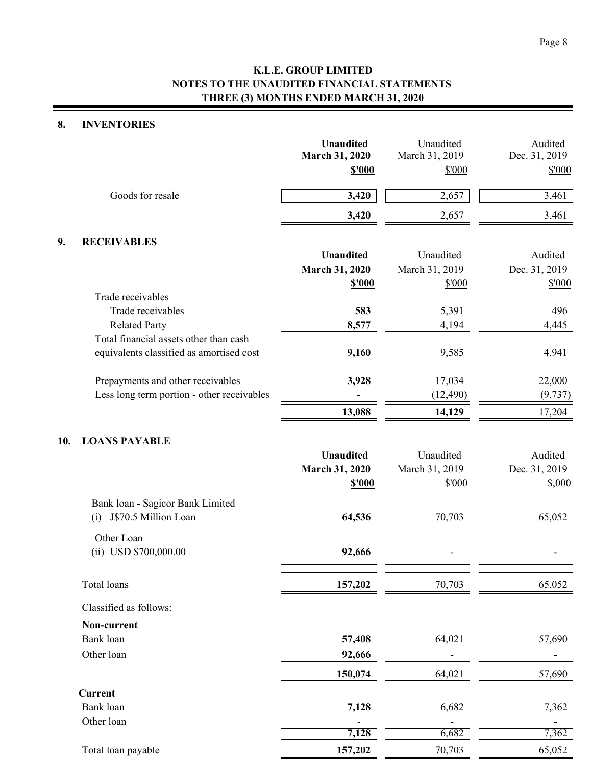## **8. INVENTORIES**

|     |                                            | <b>Unaudited</b><br>March 31, 2020<br><b>\$'000</b> | Unaudited<br>March 31, 2019<br>\$'000 | Audited<br>Dec. 31, 2019<br>\$'000 |
|-----|--------------------------------------------|-----------------------------------------------------|---------------------------------------|------------------------------------|
|     | Goods for resale                           | 3,420                                               | 2,657                                 | 3,461                              |
|     |                                            | 3,420                                               | 2,657                                 | 3,461                              |
| 9.  | <b>RECEIVABLES</b>                         |                                                     |                                       |                                    |
|     |                                            | <b>Unaudited</b>                                    | Unaudited                             | Audited                            |
|     |                                            | March 31, 2020                                      | March 31, 2019                        | Dec. 31, 2019                      |
|     |                                            | <b>\$'000</b>                                       | \$'000                                | \$'000                             |
|     | Trade receivables                          |                                                     |                                       |                                    |
|     | Trade receivables<br><b>Related Party</b>  | 583                                                 | 5,391                                 | 496                                |
|     | Total financial assets other than cash     | 8,577                                               | 4,194                                 | 4,445                              |
|     | equivalents classified as amortised cost   | 9,160                                               | 9,585                                 | 4,941                              |
|     | Prepayments and other receivables          | 3,928                                               | 17,034                                | 22,000                             |
|     | Less long term portion - other receivables |                                                     | (12, 490)                             | (9, 737)                           |
|     |                                            | 13,088                                              | 14,129                                | 17,204                             |
| 10. | <b>LOANS PAYABLE</b>                       |                                                     |                                       |                                    |
|     |                                            | <b>Unaudited</b>                                    | Unaudited                             | Audited                            |
|     |                                            | March 31, 2020                                      | March 31, 2019                        | Dec. 31, 2019                      |
|     |                                            | <b>\$'000</b>                                       | \$'000                                | \$,000                             |
|     | Bank loan - Sagicor Bank Limited           |                                                     |                                       |                                    |
|     | J\$70.5 Million Loan<br>(i)                | 64,536                                              | 70,703                                | 65,052                             |
|     | Other Loan                                 |                                                     |                                       |                                    |
|     | $(ii)$ USD \$700,000.00                    | 92,666                                              |                                       |                                    |
|     | Total loans                                | 157,202                                             | 70,703                                | 65,052                             |
|     | Classified as follows:                     |                                                     |                                       |                                    |
|     | Non-current                                |                                                     |                                       |                                    |
|     | Bank loan                                  | 57,408                                              | 64,021                                | 57,690                             |
|     | Other loan                                 | 92,666                                              |                                       |                                    |
|     |                                            | 150,074                                             | 64,021                                | 57,690                             |
|     | <b>Current</b>                             |                                                     |                                       |                                    |
|     | Bank loan                                  | 7,128                                               | 6,682                                 | 7,362                              |
|     | Other loan                                 |                                                     |                                       |                                    |
|     |                                            | 7,128                                               | 6,682                                 | 7,362                              |
|     | Total loan payable                         | 157,202                                             | 70,703                                | 65,052                             |